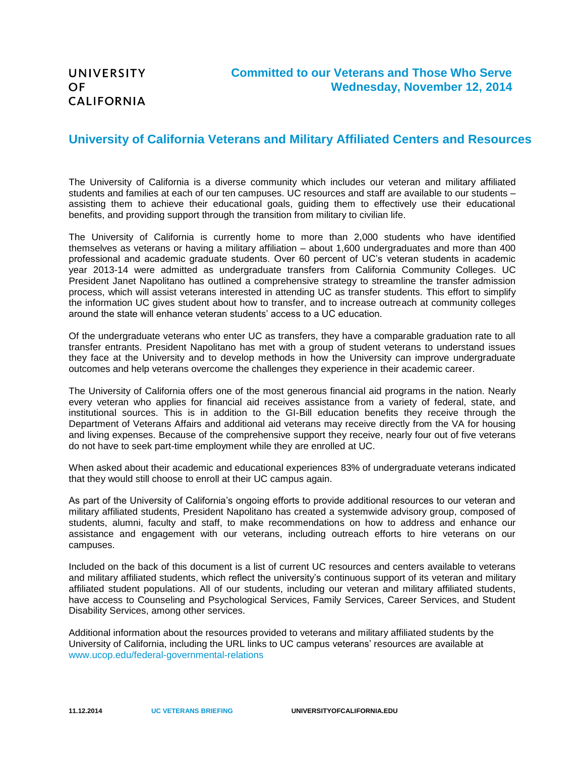## **University of California Veterans and Military Affiliated Centers and Resources**

The University of California is a diverse community which includes our veteran and military affiliated students and families at each of our ten campuses. UC resources and staff are available to our students – assisting them to achieve their educational goals, guiding them to effectively use their educational benefits, and providing support through the transition from military to civilian life.

The University of California is currently home to more than 2,000 students who have identified themselves as veterans or having a military affiliation – about 1,600 undergraduates and more than 400 professional and academic graduate students. Over 60 percent of UC's veteran students in academic year 2013-14 were admitted as undergraduate transfers from California Community Colleges. UC President Janet Napolitano has outlined a comprehensive strategy to streamline the transfer admission process, which will assist veterans interested in attending UC as transfer students. This effort to simplify the information UC gives student about how to transfer, and to increase outreach at community colleges around the state will enhance veteran students' access to a UC education.

Of the undergraduate veterans who enter UC as transfers, they have a comparable graduation rate to all transfer entrants. President Napolitano has met with a group of student veterans to understand issues they face at the University and to develop methods in how the University can improve undergraduate outcomes and help veterans overcome the challenges they experience in their academic career.

The University of California offers one of the most generous financial aid programs in the nation. Nearly every veteran who applies for financial aid receives assistance from a variety of federal, state, and institutional sources. This is in addition to the GI-Bill education benefits they receive through the Department of Veterans Affairs and additional aid veterans may receive directly from the VA for housing and living expenses. Because of the comprehensive support they receive, nearly four out of five veterans do not have to seek part-time employment while they are enrolled at UC.

When asked about their academic and educational experiences 83% of undergraduate veterans indicated that they would still choose to enroll at their UC campus again.

As part of the University of California's ongoing efforts to provide additional resources to our veteran and military affiliated students, President Napolitano has created a systemwide advisory group, composed of students, alumni, faculty and staff, to make recommendations on how to address and enhance our assistance and engagement with our veterans, including outreach efforts to hire veterans on our campuses.

Included on the back of this document is a list of current UC resources and centers available to veterans and military affiliated students, which reflect the university's continuous support of its veteran and military affiliated student populations. All of our students, including our veteran and military affiliated students, have access to Counseling and Psychological Services, Family Services, Career Services, and Student Disability Services, among other services.

Additional information about the resources provided to veterans and military affiliated students by the University of California, including the URL links to UC campus veterans' resources are available at <www.ucop.edu/federal-governmental-relations>